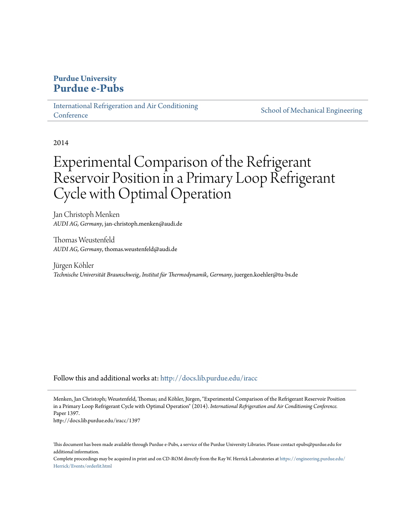# **Purdue University [Purdue e-Pubs](http://docs.lib.purdue.edu?utm_source=docs.lib.purdue.edu%2Firacc%2F1397&utm_medium=PDF&utm_campaign=PDFCoverPages)**

[International Refrigeration and Air Conditioning](http://docs.lib.purdue.edu/iracc?utm_source=docs.lib.purdue.edu%2Firacc%2F1397&utm_medium=PDF&utm_campaign=PDFCoverPages) **[Conference](http://docs.lib.purdue.edu/iracc?utm_source=docs.lib.purdue.edu%2Firacc%2F1397&utm_medium=PDF&utm_campaign=PDFCoverPages)** 

[School of Mechanical Engineering](http://docs.lib.purdue.edu/me?utm_source=docs.lib.purdue.edu%2Firacc%2F1397&utm_medium=PDF&utm_campaign=PDFCoverPages)

2014

# Experimental Comparison of the Refrigerant Reservoir Position in a Primary Loop Refrigerant Cycle with Optimal Operation

Jan Christoph Menken *AUDI AG, Germany*, jan-christoph.menken@audi.de

Thomas Weustenfeld *AUDI AG, Germany*, thomas.weustenfeld@audi.de

Jürgen Köhler *Technische Universität Braunschweig, Institut für Thermodynamik, Germany*, juergen.koehler@tu-bs.de

Follow this and additional works at: [http://docs.lib.purdue.edu/iracc](http://docs.lib.purdue.edu/iracc?utm_source=docs.lib.purdue.edu%2Firacc%2F1397&utm_medium=PDF&utm_campaign=PDFCoverPages)

Menken, Jan Christoph; Weustenfeld, Thomas; and Köhler, Jürgen, "Experimental Comparison of the Refrigerant Reservoir Position in a Primary Loop Refrigerant Cycle with Optimal Operation" (2014). *International Refrigeration and Air Conditioning Conference.* Paper 1397.

http://docs.lib.purdue.edu/iracc/1397

This document has been made available through Purdue e-Pubs, a service of the Purdue University Libraries. Please contact epubs@purdue.edu for additional information.

Complete proceedings may be acquired in print and on CD-ROM directly from the Ray W. Herrick Laboratories at [https://engineering.purdue.edu/](https://engineering.purdue.edu/Herrick/Events/orderlit.html) [Herrick/Events/orderlit.html](https://engineering.purdue.edu/Herrick/Events/orderlit.html)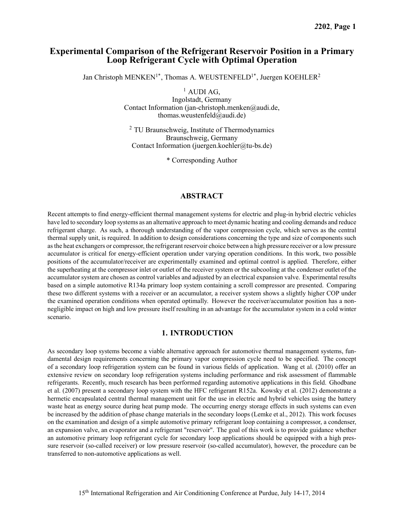# **Experimental Comparison of the Refrigerant Reservoir Position in a Primary Loop Refrigerant Cycle with Optimal Operation**

Jan Christoph MENKEN<sup>1\*</sup>, Thomas A. WEUSTENFELD<sup>1\*</sup>, Juergen KOEHLER<sup>2</sup>

 $<sup>1</sup>$  AUDI AG,</sup>

Ingolstadt, Germany Contact Information (jan-christoph.menken@audi.de, thomas.weustenfeld@audi.de)

<sup>2</sup> TU Braunschweig, Institute of Thermodynamics Braunschweig, Germany Contact Information (juergen.koehler@tu-bs.de)

\* Corresponding Author

# **ABSTRACT**

Recent attempts to find energy-efficient thermal management systems for electric and plug-in hybrid electric vehicles have led to secondary loop systems as an alternative approach to meet dynamic heating and cooling demands and reduce refrigerant charge. As such, a thorough understanding of the vapor compression cycle, which serves as the central thermal supply unit, is required. In addition to design considerations concerning the type and size of components such as the heat exchangers or compressor, the refrigerant reservoir choice between a high pressure receiver or a low pressure accumulator is critical for energy-efficient operation under varying operation conditions. In this work, two possible positions of the accumulator/receiver are experimentally examined and optimal control is applied. Therefore, either the superheating at the compressor inlet or outlet of the receiver system or the subcooling at the condenser outlet of the accumulator system are chosen as control variables and adjusted by an electrical expansion valve. Experimental results based on a simple automotive R134a primary loop system containing a scroll compressor are presented. Comparing these two different systems with a receiver or an accumulator, a receiver system shows a slightly higher COP under the examined operation conditions when operated optimally. However the receiver/accumulator position has a nonnegligible impact on high and low pressure itself resulting in an advantage for the accumulator system in a cold winter scenario.

# **1. INTRODUCTION**

As secondary loop systems become a viable alternative approach for automotive thermal management systems, fundamental design requirements concerning the primary vapor compression cycle need to be specified. The concept of a secondary loop refrigeration system can be found in various fields of application. Wang et al. (2010) offer an extensive review on secondary loop refrigeration systems including performance and risk assessment of flammable refrigerants. Recently, much research has been performed regarding automotive applications in this field. Ghodbane et al. (2007) present a secondary loop system with the HFC refrigerant R152a. Kowsky et al. (2012) demonstrate a hermetic encapsulated central thermal management unit for the use in electric and hybrid vehicles using the battery waste heat as energy source during heat pump mode. The occurring energy storage effects in such systems can even be increased by the addition of phase change materials in the secondary loops (Lemke et al., 2012). This work focuses on the examination and design of a simple automotive primary refrigerant loop containing a compressor, a condenser, an expansion valve, an evaporator and a refrigerant "reservoir". The goal of this work is to provide guidance whether an automotive primary loop refrigerant cycle for secondary loop applications should be equipped with a high pressure reservoir (so-called receiver) or low pressure reservoir (so-called accumulator), however, the procedure can be transferred to non-automotive applications as well.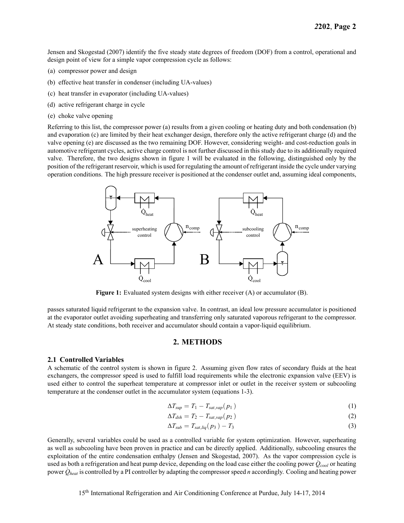Jensen and Skogestad (2007) identify the five steady state degrees of freedom (DOF) from a control, operational and design point of view for a simple vapor compression cycle as follows:

- (a) compressor power and design
- (b) effective heat transfer in condenser (including UA-values)
- (c) heat transfer in evaporator (including UA-values)
- (d) active refrigerant charge in cycle
- (e) choke valve opening

Referring to this list, the compressor power (a) results from a given cooling or heating duty and both condensation (b) and evaporation (c) are limited by their heat exchanger design, therefore only the active refrigerant charge (d) and the valve opening (e) are discussed as the two remaining DOF. However, considering weight- and cost-reduction goals in automotive refrigerant cycles, active charge control is not further discussed in this study due to its additionally required valve. Therefore, the two designs shown in figure 1 will be evaluated in the following, distinguished only by the position of the refrigerant reservoir, which is used for regulating the amount of refrigerant inside the cycle under varying operation conditions. The high pressure receiver is positioned at the condenser outlet and, assuming ideal components,



**Figure 1:** Evaluated system designs with either receiver (A) or accumulator (B).

passes saturated liquid refrigerant to the expansion valve. In contrast, an ideal low pressure accumulator is positioned at the evaporator outlet avoiding superheating and transferring only saturated vaporous refrigerant to the compressor. At steady state conditions, both receiver and accumulator should contain a vapor-liquid equilibrium.

# **2. METHODS**

#### **2.1 Controlled Variables**

A schematic of the control system is shown in figure 2. Assuming given flow rates of secondary fluids at the heat exchangers, the compressor speed is used to fulfill load requirements while the electronic expansion valve (EEV) is used either to control the superheat temperature at compressor inlet or outlet in the receiver system or subcooling temperature at the condenser outlet in the accumulator system (equations 1-3).

$$
\Delta T_{\text{sup}} = T_1 - T_{\text{sat,var}}(p_1) \tag{1}
$$

$$
\Delta T_{dsh} = T_2 - T_{sat, vap}(p_2) \tag{2}
$$

$$
\Delta T_{sub} = T_{sat,liq}(p_3) - T_3 \tag{3}
$$

Generally, several variables could be used as a controlled variable for system optimization. However, superheating as well as subcooling have been proven in practice and can be directly applied. Additionally, subcooling ensures the exploitation of the entire condensation enthalpy (Jensen and Skogestad, 2007). As the vapor compression cycle is used as both a refrigeration and heat pump device, depending on the load case either the cooling power  $\dot{Q}_{cool}$  or heating power  $\dot{Q}_{heat}$  is controlled by a PI controller by adapting the compressor speed *n* accordingly. Cooling and heating power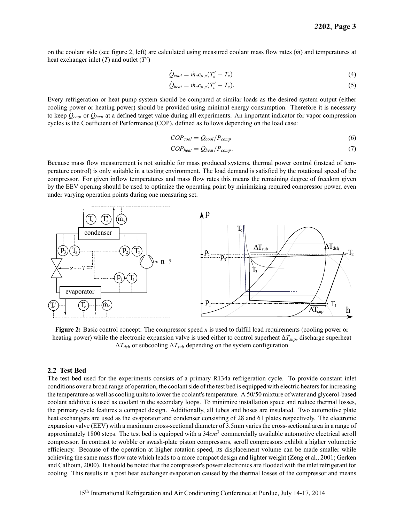on the coolant side (see figure 2, left) are calculated using measured coolant mass flow rates (*m*˙ ) and temperatures at heat exchanger inlet (*T*) and outlet (*T ′* )

$$
\dot{Q}_{cool} = \dot{m}_e c_{p,e} (T'_e - T_e)
$$
\n(4)

$$
\dot{Q}_{heat} = \dot{m}_c c_{p,c} (T_c' - T_c). \tag{5}
$$

Every refrigeration or heat pump system should be compared at similar loads as the desired system output (either cooling power or heating power) should be provided using minimal energy consumption. Therefore it is necessary to keep  $Q_{cool}$  or  $Q_{heat}$  at a defined target value during all experiments. An important indicator for vapor compression cycles is the Coefficient of Performance (COP), defined as follows depending on the load case:

$$
COP_{cool} = \dot{Q}_{cool}/P_{comp} \tag{6}
$$

$$
COP_{heat} = \dot{Q}_{heat} / P_{comp}.\tag{7}
$$

Because mass flow measurement is not suitable for mass produced systems, thermal power control (instead of temperature control) is only suitable in a testing environment. The load demand is satisfied by the rotational speed of the compressor. For given inflow temperatures and mass flow rates this means the remaining degree of freedom given by the EEV opening should be used to optimize the operating point by minimizing required compressor power, even under varying operation points during one measuring set.



**Figure 2:** Basic control concept: The compressor speed *n* is used to fulfill load requirements (cooling power or heating power) while the electronic expansion valve is used either to control superheat Δ*Tsup*, discharge superheat  $\Delta T_{dsh}$  or subcooling  $\Delta T_{sub}$  depending on the system configuration

#### **2.2 Test Bed**

The test bed used for the experiments consists of a primary R134a refrigeration cycle. To provide constant inlet conditions over a broad range of operation, the coolant side of the test bed is equipped with electric heaters for increasing the temperature as well as cooling units to lower the coolant's temperature. A 50/50 mixture of water and glycerol-based coolant additive is used as coolant in the secondary loops. To minimize installation space and reduce thermal losses, the primary cycle features a compact design. Additionally, all tubes and hoses are insulated. Two automotive plate heat exchangers are used as the evaporator and condenser consisting of 28 and 61 plates respectively. The electronic expansion valve (EEV) with a maximum cross-sectional diameter of 3.5mm varies the cross-sectional area in a range of approximately 1800 steps. The test bed is equipped with a 34*cm*<sup>3</sup> commercially available automotive electrical scroll compressor. In contrast to wobble or swash-plate piston compressors, scroll compressors exhibit a higher volumetric efficiency. Because of the operation at higher rotation speed, its displacement volume can be made smaller while achieving the same mass flow rate which leads to a more compact design and lighter weight (Zeng et al., 2001; Gerken and Calhoun, 2000). It should be noted that the compressor's power electronics are flooded with the inlet refrigerant for cooling. This results in a post heat exchanger evaporation caused by the thermal losses of the compressor and means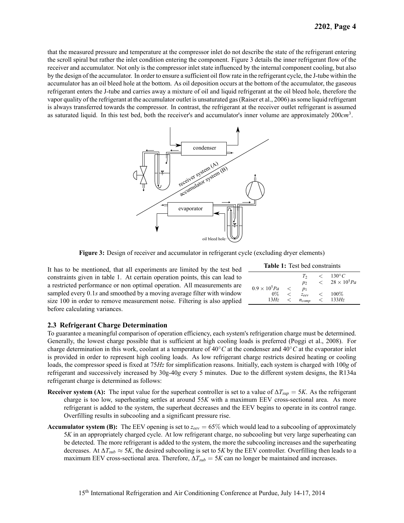that the measured pressure and temperature at the compressor inlet do not describe the state of the refrigerant entering the scroll spiral but rather the inlet condition entering the component. Figure 3 details the inner refrigerant flow of the receiver and accumulator. Not only is the compressor inlet state influenced by the internal component cooling, but also by the design of the accumulator. In order to ensure a sufficient oil flow rate in the refrigerant cycle, the J-tube within the accumulator has an oil bleed hole at the bottom. As oil deposition occurs at the bottom of the accumulator, the gaseous refrigerant enters the J-tube and carries away a mixture of oil and liquid refrigerant at the oil bleed hole, therefore the vapor quality of the refrigerant at the accumulator outlet is unsaturated gas (Raiser et al., 2006) as some liquid refrigerant is always transferred towards the compressor. In contrast, the refrigerant at the receiver outlet refrigerant is assumed as saturated liquid. In this test bed, both the receiver's and accumulator's inner volume are approximately 200*cm*<sup>3</sup> .



**Figure 3:** Design of receiver and accumulator in refrigerant cycle (excluding dryer elements)

It has to be mentioned, that all experiments are limited by the test bed constraints given in table 1. At certain operation points, this can lead to a restricted performance or non optimal operation. All measurements are sampled every 0*.*1*s* and smoothed by a moving average filter with window size 100 in order to remove measurement noise. Filtering is also applied before calculating variances.

| <b>Table 1:</b> Test bed constraints |         |                      |       |                       |  |  |  |  |
|--------------------------------------|---------|----------------------|-------|-----------------------|--|--|--|--|
|                                      |         | T <sub>2</sub>       | $\lt$ | $130^{\circ}C$        |  |  |  |  |
|                                      |         | $p_2$                |       | $< 28 \times 10^5 Pa$ |  |  |  |  |
| $0.9 \times 10^5 Pa$                 | $\,<\,$ | $p_1$                |       |                       |  |  |  |  |
| $0\%$                                |         | $Z_{\rho\rho\gamma}$ |       | $100\%$               |  |  |  |  |
| 13Hz                                 |         | $n_{comp}$           |       | 133Hz                 |  |  |  |  |

#### **2.3 Refrigerant Charge Determination**

To guarantee a meaningful comparison of operation efficiency, each system's refrigeration charge must be determined. Generally, the lowest charge possible that is sufficient at high cooling loads is preferred (Poggi et al., 2008). For charge determination in this work, coolant at a temperature of 40*◦C* at the condenser and 40*◦C* at the evaporator inlet is provided in order to represent high cooling loads. As low refrigerant charge restricts desired heating or cooling loads, the compressor speed is fixed at 75*Hz* for simplification reasons. Initially, each system is charged with 100*g* of refrigerant and successively increased by 30g-40*g* every 5 minutes. Due to the different system designs, the R134a refrigerant charge is determined as follows:

- **Receiver system (A):** The input value for the superheat controller is set to a value of  $\Delta T_{sup} = 5K$ . As the refrigerant charge is too low, superheating settles at around 55*K* with a maximum EEV cross-sectional area. As more refrigerant is added to the system, the superheat decreases and the EEV begins to operate in its control range. Overfilling results in subcooling and a significant pressure rise.
- **Accumulator system (B):** The EEV opening is set to  $z_{\text{eev}} = 65\%$  which would lead to a subcooling of approximately 5*K* in an appropriately charged cycle. At low refrigerant charge, no subcooling but very large superheating can be detected. The more refrigerant is added to the system, the more the subcooling increases and the superheating decreases. At  $\Delta T_{sub} \approx 5K$ , the desired subcooling is set to 5*K* by the EEV controller. Overfilling then leads to a maximum EEV cross-sectional area. Therefore,  $\Delta T_{sub} = 5K$  can no longer be maintained and increases.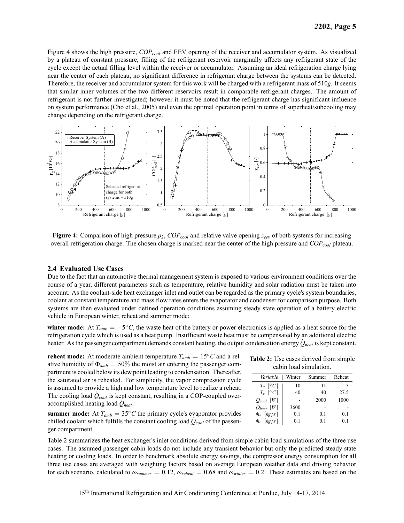Figure 4 shows the high pressure, *COPcool* and EEV opening of the receiver and accumulator system. As visualized by a plateau of constant pressure, filling of the refrigerant reservoir marginally affects any refrigerant state of the cycle except the actual filling level within the receiver or accumulator. Assuming an ideal refrigeration charge lying near the center of each plateau, no significant difference in refrigerant charge between the systems can be detected. Therefore, the receiver and accumulator system for this work will be charged with a refrigerant mass of 510*g*. It seems that similar inner volumes of the two different reservoirs result in comparable refrigerant charges. The amount of refrigerant is not further investigated; however it must be noted that the refrigerant charge has significant influence on system performance (Cho et al., 2005) and even the optimal operation point in terms of superheat/subcooling may change depending on the refrigerant charge.



**Figure 4:** Comparison of high pressure *p*2, *COPcool* and relative valve opening *zeev* of both systems for increasing overall refrigeration charge. The chosen charge is marked near the center of the high pressure and *COPcool* plateau.

#### **2.4 Evaluated Use Cases**

Due to the fact that an automotive thermal management system is exposed to various environment conditions over the course of a year, different parameters such as temperature, relative humidity and solar radiation must be taken into account. As the coolant-side heat exchanger inlet and outlet can be regarded as the primary cycle's system boundaries, coolant at constant temperature and mass flow rates enters the evaporator and condenser for comparison purpose. Both systems are then evaluated under defined operation conditions assuming steady state operation of a battery electric vehicle in European winter, reheat and summer mode:

**winter mode:** At  $T_{amb} = -5^\circ C$ , the waste heat of the battery or power electronics is applied as a heat source for the refrigeration cycle which is used as a heat pump. Insufficient waste heat must be compensated by an additional electric heater. As the passenger compartment demands constant heating, the output condensation energy  $\dot{Q}_{heat}$  is kept constant.

**reheat mode:** At moderate ambient temperature  $T_{amb} = 15$ °C and a relative humidity of  $\Phi_{amb} = 50\%$  the moist air entering the passenger compartment is cooled below its dew point leading to condensation. Thereafter, the saturated air is reheated. For simplicity, the vapor compression cycle is assumed to provide a high and low temperature level to realize a reheat. The cooling load  $\dot{Q}_{cool}$  is kept constant, resulting in a COP-coupled overaccomplished heating load *Q*˙ *heat*.

**summer mode:** At  $T_{amb} = 35\degree C$  the primary cycle's evaporator provides chilled coolant which fulfills the constant cooling load  $\dot{Q}_{cool}$  of the passenger compartment.

**Table 2:** Use cases derived from simple cabin load simulation.

| Variable           | Winter | Summer | Reheat |
|--------------------|--------|--------|--------|
| $T_e$ [°C]         | 10     | 11     |        |
| $T_c$ [°C]         | 40     | 40     | 27.5   |
| $Q_{cool}$ [W]     |        | 2000   | 1000   |
| $Q_{heat}$ [W]     | 3600   |        |        |
| $m_e$ [kg/s]       | 0.1    | 0.1    | 0.1    |
| $\dot{m}_c$ [kg/s] | 0.1    | 01     | 01     |

Table 2 summarizes the heat exchanger's inlet conditions derived from simple cabin load simulations of the three use cases. The assumed passenger cabin loads do not include any transient behavior but only the predicted steady state heating or cooling loads. In order to benchmark absolute energy savings, the compressor energy consumption for all three use cases are averaged with weighting factors based on average European weather data and driving behavior for each scenario, calculated to  $\omega_{\textit{summer}} = 0.12$ ,  $\omega_{\textit{reheat}} = 0.68$  and  $\omega_{\textit{winter}} = 0.2$ . These estimates are based on the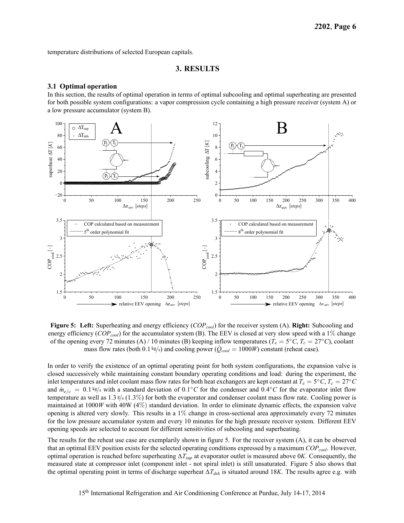temperature distributions of selected European capitals.

#### **3. RESULTS**

#### **3.1 Optimal operation**

In this section, the results of optimal operation in terms of optimal subcooling and optimal superheating are presented for both possible system configurations: a vapor compression cycle containing a high pressure receiver (system A) or a low pressure accumulator (system B).



**Figure 5: Left:** Superheating and energy efficiency (*COPcool*) for the receiver system (A). **Right:** Subcooling and energy efficiency (*COPcool*) for the accumulator system (B). The EEV is closed at very slow speed with a 1% change of the opening every 72 minutes (A) / 10 minutes (B) keeping inflow temperatures (*T<sup>e</sup>* = 5 *◦C*, *T<sup>c</sup>* = 27*◦C*), coolant mass flow rates (both 0.1 kg/s) and cooling power ( $\dot{Q}_{cool} = 1000W$ ) constant (reheat case).

In order to verify the existence of an optimal operating point for both system configurations, the expansion valve is closed successively while maintaining constant boundary operating conditions and load: during the experiment, the inlet temperatures and inlet coolant mass flow rates for both heat exchangers are kept constant at  $T_e = 5 °C$ ,  $T_c = 27 °C$ and  $\dot{m}_{e/c} = 0.1 \text{ kg/s}$  with a standard deviation of  $0.1^{\circ}C$  for the condenser and  $0.4^{\circ}C$  for the evaporator inlet flow temperature as well as 1*.*3 <sup>g</sup>*/*<sup>s</sup> (1*.*3%) for both the evaporator and condenser coolant mass flow rate. Cooling power is maintained at 1000*W* with 40W (4%) standard deviation. In order to eliminate dynamic effects, the expansion valve opening is altered very slowly. This results in a 1% change in cross-sectional area approximately every 72 minutes for the low pressure accumulator system and every 10 minutes for the high pressure receiver system. Different EEV opening speeds are selected to account for different sensitivities of subcooling and superheating.

The results for the reheat use case are exemplarily shown in figure 5. For the receiver system (A), it can be observed that an optimal EEV position exists for the selected operating conditions expressed by a maximum *COPcool*. However, optimal operation is reached before superheating Δ*Tsup* at evaporator outlet is measured above 0*K*. Consequently, the measured state at compressor inlet (component inlet - not spiral inlet) is still unsaturated. Figure 5 also shows that the optimal operating point in terms of discharge superheat Δ*Tdsh* is situated around 18*K*. The results agree e.g. with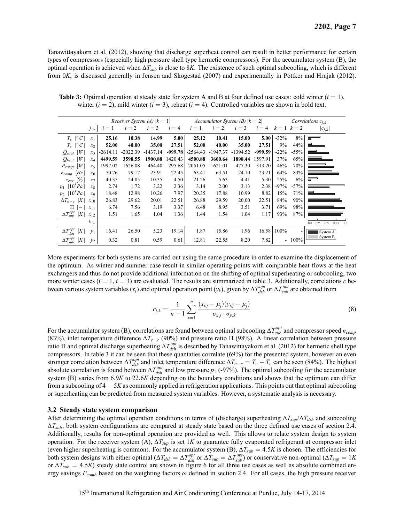Tanawittayakorn et al. (2012), showing that discharge superheat control can result in better performance for certain types of compressors (especially high pressure shell type hermetic compressors). For the accumulator system (B), the optimal operation is achieved when  $\Delta T_{sub}$  is close to 8*K*. The existence of such optimal subcooling, which is different from 0*K*, is discussed generally in Jensen and Skogestad (2007) and experimentally in Pottker and Hrnjak (2012).

|                                                        |                |            |            |                                                                         |         | <i>Receiver System (A)</i> $[k = 1]$ <i>Accumulator System (B)</i> $[k = 2]$ |            |            | Correlations $c_{i,k}$ |         |         |                                 |
|--------------------------------------------------------|----------------|------------|------------|-------------------------------------------------------------------------|---------|------------------------------------------------------------------------------|------------|------------|------------------------|---------|---------|---------------------------------|
|                                                        | j↓∣            | $i=1$      |            | $i = 2$ $i = 3$ $i = 4$ $i = 1$ $i = 2$ $i = 3$ $i = 4$ $k = 1$ $k = 2$ |         |                                                                              |            |            |                        |         |         | $ c_{i,k} $                     |
| $T_e \, [^\circ C]$                                    | $x_1$          | 25.16      | 10.38      | 14.99                                                                   | 5.00    | 25.12                                                                        | 10.41      | 15.00      | 5.00                   | $-32%$  | $8\%$   | $\overline{\phantom{a}}$        |
| $T_c \, [^\circ C]$                                    | x <sub>2</sub> | 52.00      | 40.00      | 35.00                                                                   | 27.51   | 52.00                                                                        | 40.00      | 35.00      | 27.51                  | 9%      | 44%     |                                 |
| $Q_{cool}$ [W]                                         | $x_3$          | $-2614.11$ | $-2022.39$ | -1437.14                                                                |         | $-999.78$   $-2564.43$                                                       | $-1947.37$ | $-1394.52$ | $-999.59$              | $-22\%$ | $-55\%$ |                                 |
| $Q_{heat}$ [W]                                         | $x_4$          | 4499.59    | 3598.55    | 1900.88                                                                 | 1420.43 | 4500.88                                                                      | 3600.64    | 1898.44    | 1597.91                | 37%     | 65%     |                                 |
| $P_{comp}$ [W]                                         | $x_{5}$        | 1997.02    | 1626.08    | 464.40                                                                  | 295.68  | 2051.05                                                                      | 1621.01    | 477.30     | 313.20                 | 46%     | 70%     |                                 |
| $n_{comp}$ [Hz]                                        | $x_6$          | 70.76      | 79.17      | 23.91                                                                   | 22.45   | 63.41                                                                        | 63.51      | 24.10      | 23.21                  | 64%     | 83%     |                                 |
| $z_{eev}$ [%]                                          | $x_7$          | 40.35      | 24.05      | 10.35                                                                   | 4.50    | 21.26                                                                        | 5.63       | 4.41       | 5.30                   | 25%     | 6%      | $\overline{\phantom{0}}$        |
| $p_1$ [10 <sup>5</sup> Pa]                             | $x_8$          | 2.74       | 1.72       | 3.22                                                                    | 2.36    | 3.14                                                                         | 2.00       | 3.13       | 2.38                   | $-97\%$ | $-57\%$ |                                 |
| $p_2$ [10 <sup>5</sup> Pa]                             | $x_9$          | 18.48      | 12.98      | 10.26                                                                   | 7.97    | 20.35                                                                        | 17.88      | 10.99      | 8.82                   | 15%     | 71%     |                                 |
| $\Delta T_{e-c}$ [K]                                   | $x_{10}$       | 26.83      | 29.62      | 20.01                                                                   | 22.51   | 26.88                                                                        | 29.59      | 20.00      | 22.51                  | 84%     | 90%     |                                 |
| $\Pi$ $\left[-\right]$                                 | $x_{11}$       | 6.74       | 7.56       | 3.19                                                                    | 3.37    | 6.48                                                                         | 8.95       | 3.51       | 3.71                   | 69%     | 98%     |                                 |
| $\Delta T_{\textit{sup}}^{\textit{opt}}\left[K\right]$ | $x_{12}$       | 1.51       | 1.65       | 1.04                                                                    | 1.36    | 1.44                                                                         | 1.54       | 1.04       | 1.17                   | 93%     | 87%     |                                 |
|                                                        | $k \downarrow$ |            |            |                                                                         |         |                                                                              |            |            |                        |         |         | 0.5<br>$0.0 \quad 0.25$<br>0.75 |
| $\Delta T_{dsh}^{opt}$ [K]                             | $y_1$          | 16.41      | 26.50      | 5.23                                                                    | 19.14   | 1.87                                                                         | 15.86      | 1.96       | 16.58                  | 100%    |         | System A                        |
| $\Delta T_{sub}^{opt}$<br>[K]                          | $y_2$          | 0.32       | 0.81       | 0.59                                                                    | 0.61    | 12.81                                                                        | 22.55      | 8.20       | 7.82                   |         | $-100%$ | System B                        |

**Table 3:** Optimal operation at steady state for system A and B at four defined use cases: cold winter  $(i = 1)$ , winter  $(i = 2)$ , mild winter  $(i = 3)$ , reheat  $(i = 4)$ . Controlled variables are shown in bold text.

More experiments for both systems are carried out using the same procedure in order to examine the displacement of the optimum. As winter and summer case result in similar operating points with comparable heat flows at the heat exchangers and thus do not provide additional information on the shifting of optimal superheating or subcooling, two more winter cases  $(i = 1, i = 3)$  are evaluated. The results are summarized in table 3. Additionally, correlations *c* between various system variables  $(x_j)$  and optimal operation point  $(y_k)$ , given by  $\Delta T_{dsh}^{opt}$  or  $\Delta T_{sub}^{opt}$  are obtained from

$$
c_{j,k} = \frac{1}{n-1} \sum_{i=1}^{n} \frac{(x_{i,j} - \mu_j)(y_{i,j} - \mu_j)}{\sigma_{x,j} \cdot \sigma_{y,k}}
$$
(8)

For the accumulator system (B), correlations are found between optimal subcooling  $\Delta T_{sub}^{opt}$  and compressor speed  $n_{comp}$ (83%), inlet temperature difference Δ*T<sup>e</sup>−<sup>c</sup>* (90%) and pressure ratio Π (98%). A linear correlation between pressure ratio Π and optimal discharge superheating  $\Delta T_{dsh}^{opt}$  is described by Tanawittayakorn et al. (2012) for hermetic shell type compressors. In table 3 it can be seen that these quantaties correlate (69%) for the presented system, however an even stronger correlation between  $\Delta T_{dsh}^{opt}$  and inlet temperature difference  $\Delta T_{e-c} = T_c - T_e$  can be seen (84%). The highest absolute correlation is found between  $\Delta T_{dsh}^{opt}$  and low pressure  $p_1$  (-97%). The optimal subcooling for the accumulator system (B) varies from 6*.*9*K* to 22*.*6*K* depending on the boundary conditions and shows that the optimum can differ from a subcooling of 4 *−* 5*K* as commonly applied in refrigeration applications. This points out that optimal subcooling or superheating can be predicted from measured system variables. However, a systematic analysis is necessary.

#### **3.2 Steady state system comparison**

After determining the optimal operation conditions in terms of (discharge) superheating  $\Delta T_{sun}/\Delta T_{dsh}$  and subcooling  $\Delta T_{sub}$ , both system configurations are compared at steady state based on the three defined use cases of section 2.4. Additionally, results for non-optimal operation are provided as well. This allows to relate system design to system operation. For the receiver system (A), Δ*Tsup* is set 1*K* to guarantee fully evaporated refrigerant at compressor inlet (even higher superheating is common). For the accumulator system (B),  $\Delta T_{sub} = 4.5K$  is chosen. The efficiencies for both system designs with either optimal ( $\Delta T_{dsh} = \Delta T_{dsh}^{opt}$  or  $\Delta T_{sub} = \Delta T_{sub}^{opt}$ ) or conservative non-optimal ( $\Delta T_{sup} = 1K$ or  $\Delta T_{sub} = 4.5K$ ) steady state control are shown in figure 6 for all three use cases as well as absolute combined energy savings *Pcomb* based on the weighting factors *ω* defined in section 2.4. For all cases, the high pressure receiver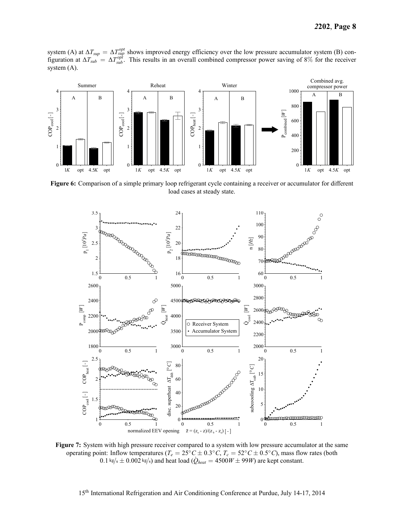system (A) at  $\Delta T_{sup} = \Delta T_{sup}^{opt}$  shows improved energy efficiency over the low pressure accumulator system (B) configuration at  $\Delta T_{sub} = \Delta T_{sub}^{opt}$ . This results in an overall combined compressor power saving of 8% for the receiver system (A).



**Figure 6:** Comparison of a simple primary loop refrigerant cycle containing a receiver or accumulator for different load cases at steady state.



**Figure 7:** System with high pressure receiver compared to a system with low pressure accumulator at the same operating point: Inflow temperatures ( $T_e = 25^\circ C \pm 0.3^\circ C$ ,  $T_c = 52^\circ C \pm 0.5^\circ C$ ), mass flow rates (both  $0.1 \text{ kg/s} \pm 0.002 \text{ kg/s}$  and heat load ( $\dot{Q}_{heat} = 4500W \pm 99W$ ) are kept constant.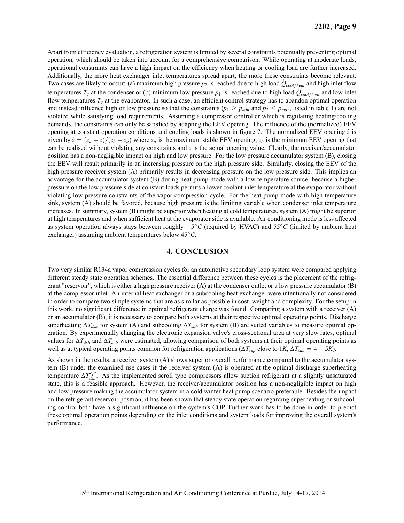Apart from efficiency evaluation, a refrigeration system is limited by several constraints potentially preventing optimal operation, which should be taken into account for a comprehensive comparison. While operating at moderate loads, operational constraints can have a high impact on the efficiency when heating or cooling load are further increased. Additionally, the more heat exchanger inlet temperatures spread apart, the more these constraints become relevant. Two cases are likely to occur: (a) maximum high pressure  $p_2$  is reached due to high load  $\dot{Q}_{cool/heat}$  and high inlet flow temperatures  $T_c$  at the condenser or (b) minimum low pressure  $p_1$  is reached due to high load  $\dot{Q}_{cool/heat}$  and low inlet flow temperatures  $T_e$  at the evaporator. In such a case, an efficient control strategy has to abandon optimal operation and instead influence high or low pressure so that the constraints ( $p_1 \geq p_{min}$  and  $p_2 \leq p_{max}$ , listed in table 1) are not violated while satisfying load requirements. Assuming a compressor controller which is regulating heating/cooling demands, the constraints can only be satisfied by adapting the EEV opening. The influence of the (normalized) EEV opening at constant operation conditions and cooling loads is shown in figure 7. The normalized EEV opening  $\hat{z}$  is given by  $\hat{z} = (z_a - z)/(z_b - z_a)$  where  $z_a$  is the maximum stable EEV opening,  $z_b$  is the minimum EEV opening that can be realised without violating any constraints and *z* is the actual opening value. Clearly, the receiver/accumulator position has a non-negligible impact on high and low pressure. For the low pressure accumulator system (B), closing the EEV will result primarily in an increasing pressure on the high pressure side. Similarly, closing the EEV of the high pressure receiver system (A) primarily results in decreasing pressure on the low pressure side. This implies an advantage for the accumulator system (B) during heat pump mode with a low temperature source, because a higher pressure on the low pressure side at constant loads permits a lower coolant inlet temperature at the evaporator without violating low pressure constraints of the vapor compression cycle. For the heat pump mode with high temperature sink, system (A) should be favored, because high pressure is the limiting variable when condenser inlet temperature increases. In summary, system (B) might be superior when heating at cold temperatures, system (A) might be superior at high temperatures and when sufficient heat at the evaporator side is available. Air conditioning mode is less affected as system operation always stays between roughly *−*5 *◦C* (required by HVAC) and 55*◦C* (limited by ambient heat exchanger) assuming ambient temperatures below 45*◦C*.

# **4. CONCLUSION**

Two very similar R134a vapor compression cycles for an automotive secondary loop system were compared applying different steady state operation schemes. The essential difference between these cycles is the placement of the refrigerant "reservoir", which is either a high pressure receiver (A) at the condenser outlet or a low pressure accumulator (B) at the compressor inlet. An internal heat exchanger or a subcooling heat exchanger were intentionally not considered in order to compare two simple systems that are as similar as possible in cost, weight and complexity. For the setup in this work, no significant difference in optimal refrigerant charge was found. Comparing a system with a receiver (A) or an accumulator (B), it is necessary to compare both systems at their respective optimal operating points. Discharge superheating  $\Delta T_{dsh}$  for system (A) and subcooling  $\Delta T_{sub}$  for system (B) are suited variables to measure optimal operation. By experimentally changing the electronic expansion valve's cross-sectional area at very slow rates, optimal values for  $\Delta T_{dsh}$  and  $\Delta T_{sub}$  were estimated, allowing comparison of both systems at their optimal operating points as well as at typical operating points common for refrigeration applications ( $\Delta T_{sup}$  close to 1*K*,  $\Delta T_{sub} = 4 - 5K$ ).

As shown in the results, a receiver system (A) shows superior overall performance compared to the accumulator system (B) under the examined use cases if the receiver system (A) is operated at the optimal discharge superheating temperature  $\Delta T_{dsh}^{opt}$ . As the implemented scroll type compressors allow suction refrigerant at a slightly unsaturated state, this is a feasible approach. However, the receiver/accumulator position has a non-negligible impact on high and low pressure making the accumulator system in a cold winter heat pump scenario preferable. Besides the impact on the refrigerant reservoir position, it has been shown that steady state operation regarding superheating or subcooling control both have a significant influence on the system's COP. Further work has to be done in order to predict these optimal operation points depending on the inlet conditions and system loads for improving the overall system's performance.